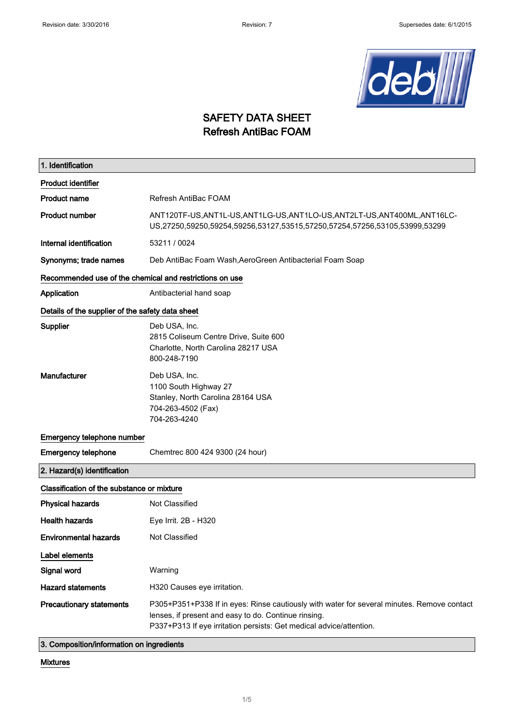

### SAFETY DATA SHEET Refresh AntiBac FOAM

| 1. Identification                                       |                                                                                                                                                                                                                           |  |
|---------------------------------------------------------|---------------------------------------------------------------------------------------------------------------------------------------------------------------------------------------------------------------------------|--|
| <b>Product identifier</b>                               |                                                                                                                                                                                                                           |  |
| <b>Product name</b>                                     | Refresh AntiBac FOAM                                                                                                                                                                                                      |  |
| <b>Product number</b>                                   | ANT120TF-US,ANT1L-US,ANT1LG-US,ANT1LO-US,ANT2LT-US,ANT400ML,ANT16LC-<br>US,27250,59250,59254,59256,53127,53515,57250,57254,57256,53105,53999,53299                                                                        |  |
| Internal identification                                 | 53211 / 0024                                                                                                                                                                                                              |  |
| Synonyms; trade names                                   | Deb AntiBac Foam Wash, AeroGreen Antibacterial Foam Soap                                                                                                                                                                  |  |
| Recommended use of the chemical and restrictions on use |                                                                                                                                                                                                                           |  |
| Application                                             | Antibacterial hand soap                                                                                                                                                                                                   |  |
| Details of the supplier of the safety data sheet        |                                                                                                                                                                                                                           |  |
| <b>Supplier</b>                                         | Deb USA, Inc.<br>2815 Coliseum Centre Drive, Suite 600<br>Charlotte, North Carolina 28217 USA<br>800-248-7190                                                                                                             |  |
| Manufacturer                                            | Deb USA, Inc.<br>1100 South Highway 27<br>Stanley, North Carolina 28164 USA<br>704-263-4502 (Fax)<br>704-263-4240                                                                                                         |  |
| Emergency telephone number                              |                                                                                                                                                                                                                           |  |
| <b>Emergency telephone</b>                              | Chemtrec 800 424 9300 (24 hour)                                                                                                                                                                                           |  |
| 2. Hazard(s) identification                             |                                                                                                                                                                                                                           |  |
| Classification of the substance or mixture              |                                                                                                                                                                                                                           |  |
| <b>Physical hazards</b>                                 | Not Classified                                                                                                                                                                                                            |  |
| <b>Health hazards</b>                                   | Eye Irrit. 2B - H320                                                                                                                                                                                                      |  |
| <b>Environmental hazards</b>                            | Not Classified                                                                                                                                                                                                            |  |
| Label elements                                          |                                                                                                                                                                                                                           |  |
| Signal word                                             | Warning                                                                                                                                                                                                                   |  |
| <b>Hazard statements</b>                                | H320 Causes eye irritation.                                                                                                                                                                                               |  |
| <b>Precautionary statements</b>                         | P305+P351+P338 If in eyes: Rinse cautiously with water for several minutes. Remove contact<br>lenses, if present and easy to do. Continue rinsing.<br>P337+P313 If eye irritation persists: Get medical advice/attention. |  |
| 3. Composition/information on ingredients               |                                                                                                                                                                                                                           |  |

Mixtures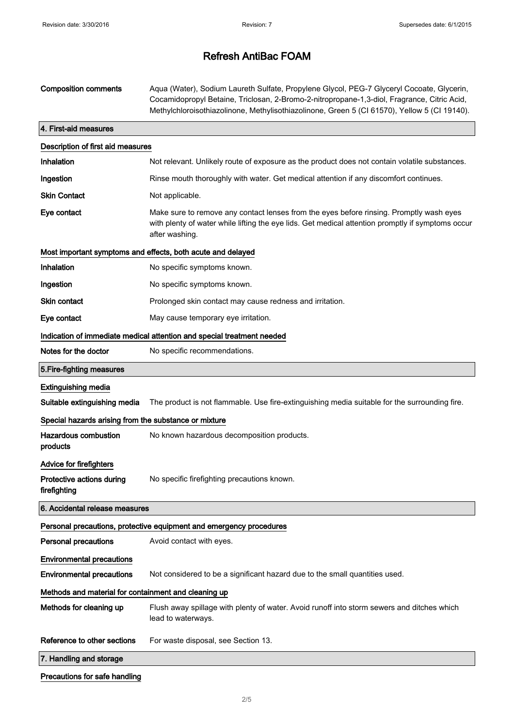| <b>Composition comments</b>                           | Aqua (Water), Sodium Laureth Sulfate, Propylene Glycol, PEG-7 Glyceryl Cocoate, Glycerin,<br>Cocamidopropyl Betaine, Triclosan, 2-Bromo-2-nitropropane-1,3-diol, Fragrance, Citric Acid,<br>Methylchloroisothiazolinone, Methylisothiazolinone, Green 5 (CI 61570), Yellow 5 (CI 19140). |  |
|-------------------------------------------------------|------------------------------------------------------------------------------------------------------------------------------------------------------------------------------------------------------------------------------------------------------------------------------------------|--|
| 4. First-aid measures                                 |                                                                                                                                                                                                                                                                                          |  |
| Description of first aid measures                     |                                                                                                                                                                                                                                                                                          |  |
| Inhalation                                            | Not relevant. Unlikely route of exposure as the product does not contain volatile substances.                                                                                                                                                                                            |  |
| Ingestion                                             | Rinse mouth thoroughly with water. Get medical attention if any discomfort continues.                                                                                                                                                                                                    |  |
| <b>Skin Contact</b>                                   | Not applicable.                                                                                                                                                                                                                                                                          |  |
| Eye contact                                           | Make sure to remove any contact lenses from the eyes before rinsing. Promptly wash eyes<br>with plenty of water while lifting the eye lids. Get medical attention promptly if symptoms occur<br>after washing.                                                                           |  |
|                                                       | Most important symptoms and effects, both acute and delayed                                                                                                                                                                                                                              |  |
| Inhalation                                            | No specific symptoms known.                                                                                                                                                                                                                                                              |  |
| Ingestion                                             | No specific symptoms known.                                                                                                                                                                                                                                                              |  |
| <b>Skin contact</b>                                   | Prolonged skin contact may cause redness and irritation.                                                                                                                                                                                                                                 |  |
| Eye contact                                           | May cause temporary eye irritation.                                                                                                                                                                                                                                                      |  |
|                                                       | Indication of immediate medical attention and special treatment needed                                                                                                                                                                                                                   |  |
| Notes for the doctor                                  | No specific recommendations.                                                                                                                                                                                                                                                             |  |
| 5. Fire-fighting measures                             |                                                                                                                                                                                                                                                                                          |  |
| <b>Extinguishing media</b>                            |                                                                                                                                                                                                                                                                                          |  |
| Suitable extinguishing media                          | The product is not flammable. Use fire-extinguishing media suitable for the surrounding fire.                                                                                                                                                                                            |  |
| Special hazards arising from the substance or mixture |                                                                                                                                                                                                                                                                                          |  |
| <b>Hazardous combustion</b><br>products               | No known hazardous decomposition products.                                                                                                                                                                                                                                               |  |
| Advice for firefighters                               |                                                                                                                                                                                                                                                                                          |  |
| Protective actions during<br>firefighting             | No specific firefighting precautions known.                                                                                                                                                                                                                                              |  |
| 6. Accidental release measures                        |                                                                                                                                                                                                                                                                                          |  |
|                                                       | Personal precautions, protective equipment and emergency procedures                                                                                                                                                                                                                      |  |
| <b>Personal precautions</b>                           | Avoid contact with eyes.                                                                                                                                                                                                                                                                 |  |
| <b>Environmental precautions</b>                      |                                                                                                                                                                                                                                                                                          |  |
| <b>Environmental precautions</b>                      | Not considered to be a significant hazard due to the small quantities used.                                                                                                                                                                                                              |  |
| Methods and material for containment and cleaning up  |                                                                                                                                                                                                                                                                                          |  |
| Methods for cleaning up                               | Flush away spillage with plenty of water. Avoid runoff into storm sewers and ditches which<br>lead to waterways.                                                                                                                                                                         |  |
| Reference to other sections                           | For waste disposal, see Section 13.                                                                                                                                                                                                                                                      |  |
| 7. Handling and storage                               |                                                                                                                                                                                                                                                                                          |  |
| Precautions for safe handling                         |                                                                                                                                                                                                                                                                                          |  |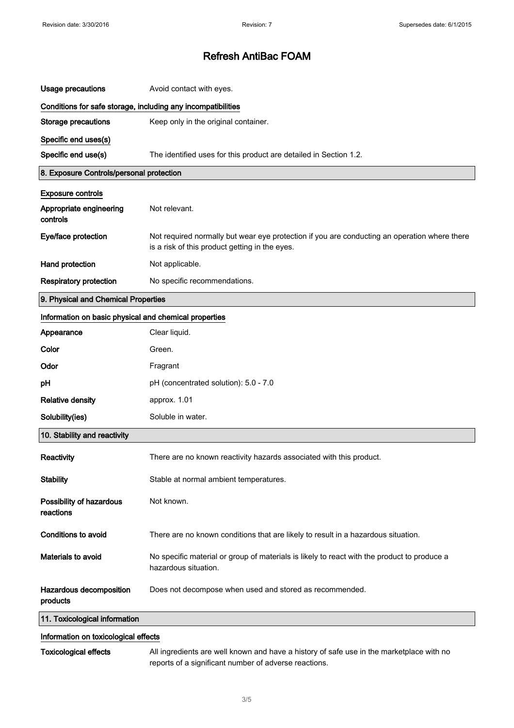| <b>Usage precautions</b>                                     | Avoid contact with eyes.                                                                                                                       |  |
|--------------------------------------------------------------|------------------------------------------------------------------------------------------------------------------------------------------------|--|
| Conditions for safe storage, including any incompatibilities |                                                                                                                                                |  |
| <b>Storage precautions</b>                                   | Keep only in the original container.                                                                                                           |  |
| Specific end uses(s)                                         |                                                                                                                                                |  |
| Specific end use(s)                                          | The identified uses for this product are detailed in Section 1.2.                                                                              |  |
| 8. Exposure Controls/personal protection                     |                                                                                                                                                |  |
| <b>Exposure controls</b>                                     |                                                                                                                                                |  |
| Appropriate engineering<br>controls                          | Not relevant.                                                                                                                                  |  |
| Eye/face protection                                          | Not required normally but wear eye protection if you are conducting an operation where there<br>is a risk of this product getting in the eyes. |  |
| Hand protection                                              | Not applicable.                                                                                                                                |  |
| <b>Respiratory protection</b>                                | No specific recommendations.                                                                                                                   |  |
| 9. Physical and Chemical Properties                          |                                                                                                                                                |  |
| Information on basic physical and chemical properties        |                                                                                                                                                |  |
| Appearance                                                   | Clear liquid.                                                                                                                                  |  |
| Color                                                        | Green.                                                                                                                                         |  |
| Odor                                                         | Fragrant                                                                                                                                       |  |
| pH                                                           | pH (concentrated solution): 5.0 - 7.0                                                                                                          |  |
| <b>Relative density</b>                                      | approx. 1.01                                                                                                                                   |  |
| Solubility(ies)                                              | Soluble in water.                                                                                                                              |  |
| 10. Stability and reactivity                                 |                                                                                                                                                |  |
| Reactivity                                                   | There are no known reactivity hazards associated with this product.                                                                            |  |
| <b>Stability</b>                                             | Stable at normal ambient temperatures.                                                                                                         |  |
| Possibility of hazardous<br>reactions                        | Not known.                                                                                                                                     |  |
| <b>Conditions to avoid</b>                                   | There are no known conditions that are likely to result in a hazardous situation.                                                              |  |
| Materials to avoid                                           | No specific material or group of materials is likely to react with the product to produce a<br>hazardous situation.                            |  |
| Hazardous decomposition<br>products                          | Does not decompose when used and stored as recommended.                                                                                        |  |
| 11. Toxicological information                                |                                                                                                                                                |  |
| Information on toxicological effects                         |                                                                                                                                                |  |

### Information on toxicological effects

 $\bar{z}$ 

Toxicological effects All ingredients are well known and have a history of safe use in the marketplace with no reports of a significant number of adverse reactions.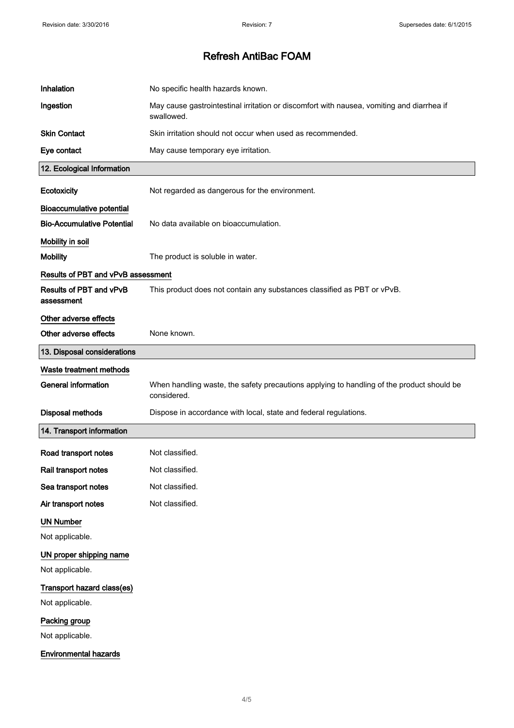| Inhalation                            | No specific health hazards known.                                                                       |
|---------------------------------------|---------------------------------------------------------------------------------------------------------|
| Ingestion                             | May cause gastrointestinal irritation or discomfort with nausea, vomiting and diarrhea if<br>swallowed. |
| <b>Skin Contact</b>                   | Skin irritation should not occur when used as recommended.                                              |
| Eye contact                           | May cause temporary eye irritation.                                                                     |
| 12. Ecological Information            |                                                                                                         |
| Ecotoxicity                           | Not regarded as dangerous for the environment.                                                          |
| <b>Bioaccumulative potential</b>      |                                                                                                         |
| <b>Bio-Accumulative Potential</b>     | No data available on bioaccumulation.                                                                   |
| Mobility in soil                      |                                                                                                         |
| <b>Mobility</b>                       | The product is soluble in water.                                                                        |
| Results of PBT and vPvB assessment    |                                                                                                         |
| Results of PBT and vPvB<br>assessment | This product does not contain any substances classified as PBT or vPvB.                                 |
| Other adverse effects                 |                                                                                                         |
| Other adverse effects                 | None known.                                                                                             |
| 13. Disposal considerations           |                                                                                                         |
| Waste treatment methods               |                                                                                                         |
| <b>General information</b>            | When handling waste, the safety precautions applying to handling of the product should be               |
|                                       | considered.                                                                                             |
| <b>Disposal methods</b>               | Dispose in accordance with local, state and federal regulations.                                        |
| 14. Transport information             |                                                                                                         |
| Road transport notes                  | Not classified.                                                                                         |
| Rail transport notes                  | Not classified.                                                                                         |
| Sea transport notes                   | Not classified.                                                                                         |
| Air transport notes                   | Not classified.                                                                                         |
| <b>UN Number</b>                      |                                                                                                         |
| Not applicable.                       |                                                                                                         |
| UN proper shipping name               |                                                                                                         |
| Not applicable.                       |                                                                                                         |
| Transport hazard class(es)            |                                                                                                         |
| Not applicable.                       |                                                                                                         |
| Packing group                         |                                                                                                         |
| Not applicable.                       |                                                                                                         |